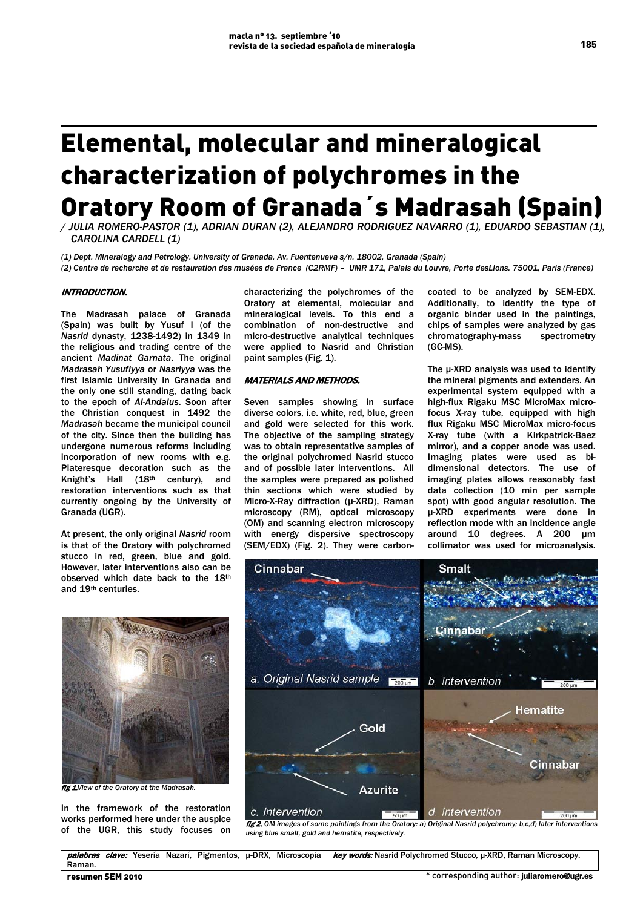# Elemental, molecular and mineralogical characterization of polychromes in the Oratory Room of Granada´s Madrasah (Spain)

*/ JULIA ROMERO-PASTOR (1), ADRIAN DURAN (2), ALEJANDRO RODRIGUEZ NAVARRO (1), EDUARDO SEBASTIAN (1), CAROLINA CARDELL (1)*

*(1) Dept. Mineralogy and Petrology. University of Granada. Av. Fuentenueva s/n. 18002, Granada (Spain)*

*(2) Centre de recherche et de restauration des musées de France (C2RMF) – UMR 171, Palais du Louvre, Porte desLions. 75001, Paris (France)*

## INTRODUCTION.

The Madrasah palace of Granada (Spain) was built by Yusuf I (of the *Nasrid* dynasty, 1238-1492) in 1349 in the religious and trading centre of the ancient *Madinat Garnata*. The original *Madrasah Yusufiyya* or *Nasriyya* was the first Islamic University in Granada and the only one still standing, dating back to the epoch of *Al-Andalus*. Soon after the Christian conquest in 1492 the *Madrasah* became the municipal council of the city. Since then the building has undergone numerous reforms including incorporation of new rooms with e.g. Plateresque decoration such as the Knight's Hall (18th century), and restoration interventions such as that currently ongoing by the University of Granada (UGR).

At present, the only original *Nasrid* room is that of the Oratory with polychromed stucco in red, green, blue and gold. However, later interventions also can be observed which date back to the 18th and 19th centuries.



fig 1.*View of the Oratory at the Madrasah.*

In the framework of the restoration works performed here under the auspice of the UGR, this study focuses on characterizing the polychromes of the Oratory at elemental, molecular and mineralogical levels. To this end a combination of non-destructive and micro-destructive analytical techniques were applied to Nasrid and Christian paint samples (Fig. 1).

#### MATERIALS AND METHODS.

Seven samples showing in surface diverse colors, i.e. white, red, blue, green and gold were selected for this work. The objective of the sampling strategy was to obtain representative samples of the original polychromed Nasrid stucco and of possible later interventions. All the samples were prepared as polished thin sections which were studied by Micro-X-Ray diffraction (µ-XRD), Raman microscopy (RM), optical microscopy (OM) and scanning electron microscopy with energy dispersive spectroscopy (SEM/EDX) (Fig. 2). They were carboncoated to be analyzed by SEM-EDX. Additionally, to identify the type of organic binder used in the paintings, chips of samples were analyzed by gas<br>chromatography-mass spectrometry chromatography-mass (GC-MS).

The μ-XRD analysis was used to identify the mineral pigments and extenders. An experimental system equipped with a high-flux Rigaku MSC MicroMax microfocus X-ray tube, equipped with high flux Rigaku MSC MicroMax micro-focus X-ray tube (with a Kirkpatrick-Baez mirror), and a copper anode was used. Imaging plates were used as bidimensional detectors. The use of imaging plates allows reasonably fast data collection (10 min per sample spot) with good angular resolution. The μ-XRD experiments were done in reflection mode with an incidence angle around 10 degrees. A 200 µm collimator was used for microanalysis.



fig 2. *OM images of some paintings from the Oratory: a) Original Nasrid polychromy; b,c,d) later interventions using blue smalt, gold and hematite, respectively.* 

palabras clave: Yesería Nazarí, Pigmentos, μ-DRX, Microscopía Raman. key words: Nasrid Polychromed Stucco, μ-XRD, Raman Microscopy.